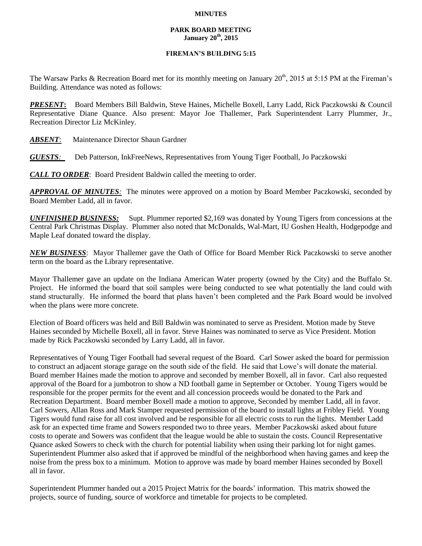## **MINUTES**

## **PARK BOARD MEETING January 20th, 2015**

## **FIREMAN'S BUILDING 5:15**

The Warsaw Parks & Recreation Board met for its monthly meeting on January  $20^{th}$ ,  $2015$  at 5:15 PM at the Fireman's Building. Attendance was noted as follows:

*PRESENT***:** Board Members Bill Baldwin, Steve Haines, Michelle Boxell, Larry Ladd, Rick Paczkowski & Council Representative Diane Quance. Also present: Mayor Joe Thallemer, Park Superintendent Larry Plummer, Jr., Recreation Director Liz McKinley.

*ABSENT*: Maintenance Director Shaun Gardner

*GUESTS:*Deb Patterson, InkFreeNews, Representatives from Young Tiger Football, Jo Paczkowski

*CALL TO ORDER*: Board President Baldwin called the meeting to order.

*APPROVAL OF MINUTES:* The minutes were approved on a motion by Board Member Paczkowski, seconded by Board Member Ladd, all in favor.

*UNFINISHED BUSINESS:* Supt. Plummer reported \$2,169 was donated by Young Tigers from concessions at the Central Park Christmas Display. Plummer also noted that McDonalds, Wal-Mart, IU Goshen Health, Hodgepodge and Maple Leaf donated toward the display.

*NEW BUSINESS*: Mayor Thallemer gave the Oath of Office for Board Member Rick Paczkowski to serve another term on the board as the Library representative.

Mayor Thallemer gave an update on the Indiana American Water property (owned by the City) and the Buffalo St. Project. He informed the board that soil samples were being conducted to see what potentially the land could with stand structurally. He informed the board that plans haven't been completed and the Park Board would be involved when the plans were more concrete.

Election of Board officers was held and Bill Baldwin was nominated to serve as President. Motion made by Steve Haines seconded by Michelle Boxell, all in favor. Steve Haines was nominated to serve as Vice President. Motion made by Rick Paczkowski seconded by Larry Ladd, all in favor.

Representatives of Young Tiger Football had several request of the Board. Carl Sower asked the board for permission to construct an adjacent storage garage on the south side of the field. He said that Lowe's will donate the material. Board member Haines made the motion to approve and seconded by member Boxell, all in favor. Carl also requested approval of the Board for a jumbotron to show a ND football game in September or October. Young Tigers would be responsible for the proper permits for the event and all concession proceeds would be donated to the Park and Recreation Department. Board member Boxell made a motion to approve, Seconded by member Ladd, all in favor. Carl Sowers, Allan Ross and Mark Stamper requested permission of the board to install lights at Fribley Field. Young Tigers would fund raise for all cost involved and be responsible for all electric costs to run the lights. Member Ladd ask for an expected time frame and Sowers responded two to three years. Member Paczkowski asked about future costs to operate and Sowers was confident that the league would be able to sustain the costs. Council Representative Quance asked Sowers to check with the church for potential liability when using their parking lot for night games. Superintendent Plummer also asked that if approved be mindful of the neighborhood when having games and keep the noise from the press box to a minimum. Motion to approve was made by board member Haines seconded by Boxell all in favor.

Superintendent Plummer handed out a 2015 Project Matrix for the boards' information. This matrix showed the projects, source of funding, source of workforce and timetable for projects to be completed.